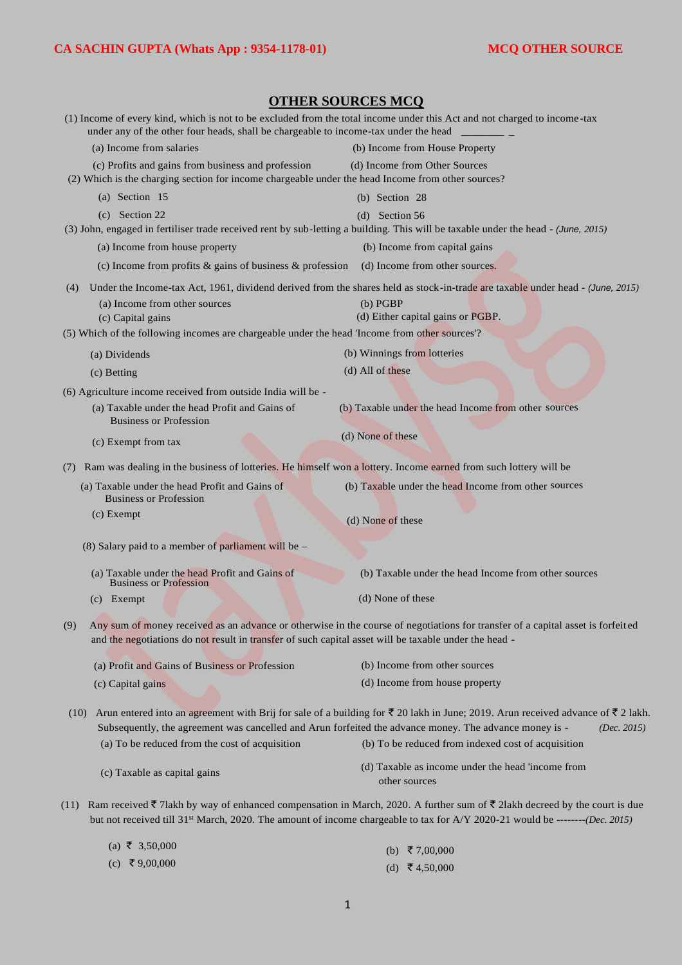| <b>OTHER SOURCES MCQ</b>                                                                                                                                                                                                                                                                       |                                                                                                                                                                                                                                                                              |  |  |
|------------------------------------------------------------------------------------------------------------------------------------------------------------------------------------------------------------------------------------------------------------------------------------------------|------------------------------------------------------------------------------------------------------------------------------------------------------------------------------------------------------------------------------------------------------------------------------|--|--|
| (1) Income of every kind, which is not to be excluded from the total income under this Act and not charged to income-tax<br>under any of the other four heads, shall be chargeable to income-tax under the head                                                                                |                                                                                                                                                                                                                                                                              |  |  |
| (a) Income from salaries                                                                                                                                                                                                                                                                       | (b) Income from House Property                                                                                                                                                                                                                                               |  |  |
| (c) Profits and gains from business and profession<br>(2) Which is the charging section for income chargeable under the head Income from other sources?                                                                                                                                        | (d) Income from Other Sources                                                                                                                                                                                                                                                |  |  |
| (a) Section $15$                                                                                                                                                                                                                                                                               | (b) Section 28                                                                                                                                                                                                                                                               |  |  |
| (c) Section 22                                                                                                                                                                                                                                                                                 | (d) Section $56$                                                                                                                                                                                                                                                             |  |  |
|                                                                                                                                                                                                                                                                                                | (3) John, engaged in fertiliser trade received rent by sub-letting a building. This will be taxable under the head - (June, 2015)                                                                                                                                            |  |  |
| (a) Income from house property                                                                                                                                                                                                                                                                 | (b) Income from capital gains                                                                                                                                                                                                                                                |  |  |
| (c) Income from profits $\&$ gains of business $\&$ profession                                                                                                                                                                                                                                 | (d) Income from other sources.                                                                                                                                                                                                                                               |  |  |
|                                                                                                                                                                                                                                                                                                | (4) Under the Income-tax Act, 1961, dividend derived from the shares held as stock-in-trade are taxable under head - (June, 2015)                                                                                                                                            |  |  |
| (a) Income from other sources                                                                                                                                                                                                                                                                  | (b) PGBP                                                                                                                                                                                                                                                                     |  |  |
| (c) Capital gains<br>(5) Which of the following incomes are chargeable under the head 'Income from other sources'?                                                                                                                                                                             | (d) Either capital gains or PGBP.                                                                                                                                                                                                                                            |  |  |
|                                                                                                                                                                                                                                                                                                |                                                                                                                                                                                                                                                                              |  |  |
| (a) Dividends                                                                                                                                                                                                                                                                                  | (b) Winnings from lotteries                                                                                                                                                                                                                                                  |  |  |
| (c) Betting                                                                                                                                                                                                                                                                                    | (d) All of these                                                                                                                                                                                                                                                             |  |  |
| (6) Agriculture income received from outside India will be -                                                                                                                                                                                                                                   |                                                                                                                                                                                                                                                                              |  |  |
| (a) Taxable under the head Profit and Gains of<br><b>Business or Profession</b>                                                                                                                                                                                                                | (b) Taxable under the head Income from other sources                                                                                                                                                                                                                         |  |  |
| (c) Exempt from tax                                                                                                                                                                                                                                                                            | (d) None of these                                                                                                                                                                                                                                                            |  |  |
| Ram was dealing in the business of lotteries. He himself won a lottery. Income earned from such lottery will be<br>(7)                                                                                                                                                                         |                                                                                                                                                                                                                                                                              |  |  |
| (a) Taxable under the head Profit and Gains of<br><b>Business or Profession</b>                                                                                                                                                                                                                | (b) Taxable under the head Income from other sources                                                                                                                                                                                                                         |  |  |
| $(c)$ Exempt                                                                                                                                                                                                                                                                                   | (d) None of these                                                                                                                                                                                                                                                            |  |  |
| (8) Salary paid to a member of parliament will be $-$                                                                                                                                                                                                                                          |                                                                                                                                                                                                                                                                              |  |  |
| (a) Taxable under the head Profit and Gains of<br><b>Business or Profession</b>                                                                                                                                                                                                                | (b) Taxable under the head Income from other sources                                                                                                                                                                                                                         |  |  |
| (c) Exempt                                                                                                                                                                                                                                                                                     | (d) None of these                                                                                                                                                                                                                                                            |  |  |
| (9)<br>and the negotiations do not result in transfer of such capital asset will be taxable under the head -                                                                                                                                                                                   | Any sum of money received as an advance or otherwise in the course of negotiations for transfer of a capital asset is forfeited                                                                                                                                              |  |  |
| (a) Profit and Gains of Business or Profession                                                                                                                                                                                                                                                 | (b) Income from other sources                                                                                                                                                                                                                                                |  |  |
| (c) Capital gains                                                                                                                                                                                                                                                                              | (d) Income from house property                                                                                                                                                                                                                                               |  |  |
| Arun entered into an agreement with Brij for sale of a building for $\bar{\tau}$ 20 lakh in June; 2019. Arun received advance of $\bar{\tau}$ 2 lakh.<br>(10)<br>Subsequently, the agreement was cancelled and Arun forfeited the advance money. The advance money is -<br>( <i>Dec.</i> 2015) |                                                                                                                                                                                                                                                                              |  |  |
| (a) To be reduced from the cost of acquisition                                                                                                                                                                                                                                                 | (b) To be reduced from indexed cost of acquisition                                                                                                                                                                                                                           |  |  |
| (c) Taxable as capital gains                                                                                                                                                                                                                                                                   | (d) Taxable as income under the head 'income from<br>other sources                                                                                                                                                                                                           |  |  |
| (11)                                                                                                                                                                                                                                                                                           | Ram received ₹ 71akh by way of enhanced compensation in March, 2020. A further sum of ₹ 21akh decreed by the court is due<br>but not received till 31 <sup>st</sup> March, 2020. The amount of income chargeable to tax for A/Y 2020-21 would be -------( <i>Dec. 2015</i> ) |  |  |
| (a) ₹ 3,50,000                                                                                                                                                                                                                                                                                 | (b) ₹7,00,000                                                                                                                                                                                                                                                                |  |  |

 $(c)$  ₹ 9,00,000 (d)  $\bar{\mathbf{\bar{z}}}$  4,50,000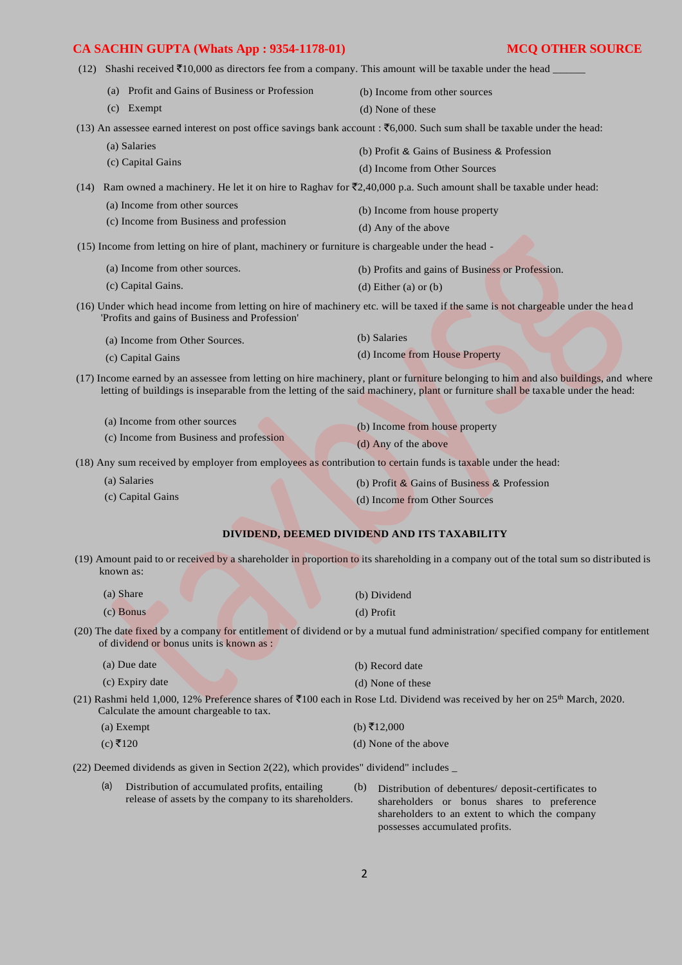- 
- (12) Shashi received  $\text{\textsterling}10,000$  as directors fee from a company. This amount will be taxable under the head (a) Profit and Gains of Business or Profession (c) Exempt (b) Income from other sources (d) None of these (13) An assessee earned interest on post office savings bank account :  $\overline{56,000}$ . Such sum shall be taxable under the head: (a) Salaries (c) Capital Gains (b) Profit & Gains of Business & Profession (d) Income from Other Sources (14) Ram owned a machinery. He let it on hire to Raghav for  $\overline{(}2,40,000$  p.a. Such amount shall be taxable under head: (a) Income from other sources (c) Income from Business and profession (b) Income from house property (d) Any of the above (15) Income from letting on hire of plant, machinery or furniture is chargeable under the head - (a) Income from other sources. (c) Capital Gains. (b) Profits and gains of Business or Profession. (d) Either (a) or (b) (16) Under which head income from letting on hire of machinery etc. will be taxed if the same is not chargeable under the head 'Profits and gains of Business and Profession' (a) Income from Other Sources. (c) Capital Gains (b) Salaries (d) Income from House Property
- (17) Income earned by an assessee from letting on hire machinery, plant or furniture belonging to him and also buildings, and where letting of buildings is inseparable from the letting of the said machinery, plant or furniture shall be taxable under the head:

| (a) Income from other sources           | (b) Income from house property |
|-----------------------------------------|--------------------------------|
| (c) Income from Business and profession | (d) Any of the above           |

(18) Any sum received by employer from employees as contribution to certain funds is taxable under the head:

(a) Salaries (c) Capital Gains (b) Profit & Gains of Business & Profession (d) Income from Other Sources

#### **DIVIDEND, DEEMED DIVIDEND AND ITS TAXABILITY**

(19) Amount paid to or received by a shareholder in proportion to its shareholding in a company out of the total sum so distributed is known as:

| (a) Share                                | (b) Dividend                                                                                                                      |
|------------------------------------------|-----------------------------------------------------------------------------------------------------------------------------------|
| $(c)$ Bonus                              | (d) Profit                                                                                                                        |
| of dividend or bonus units is known as : | (20) The date fixed by a company for entitlement of dividend or by a mutual fund administration/specified company for entitlement |

| (a) Due date                            | (b) Record date                                                                                                                                 |
|-----------------------------------------|-------------------------------------------------------------------------------------------------------------------------------------------------|
| (c) Expiry date                         | (d) None of these                                                                                                                               |
| Calculate the amount chargeable to tax. | (21) Rashmi held 1,000, 12% Preference shares of $\bar{\xi}100$ each in Rose Ltd. Dividend was received by her on 25 <sup>th</sup> March, 2020. |

(a) Exempt (b)  $\bar{x}$ 12,000 (c)  $\bar{x}$ 120 (d) None of the above

(22) Deemed dividends as given in Section 2(22), which provides" dividend" includes \_

(a) Distribution of accumulated profits, entailing (b) release of assets by the company to its shareholders. Distribution of debentures/ deposit-certificates to shareholders or bonus shares to preference shareholders to an extent to which the company possesses accumulated profits.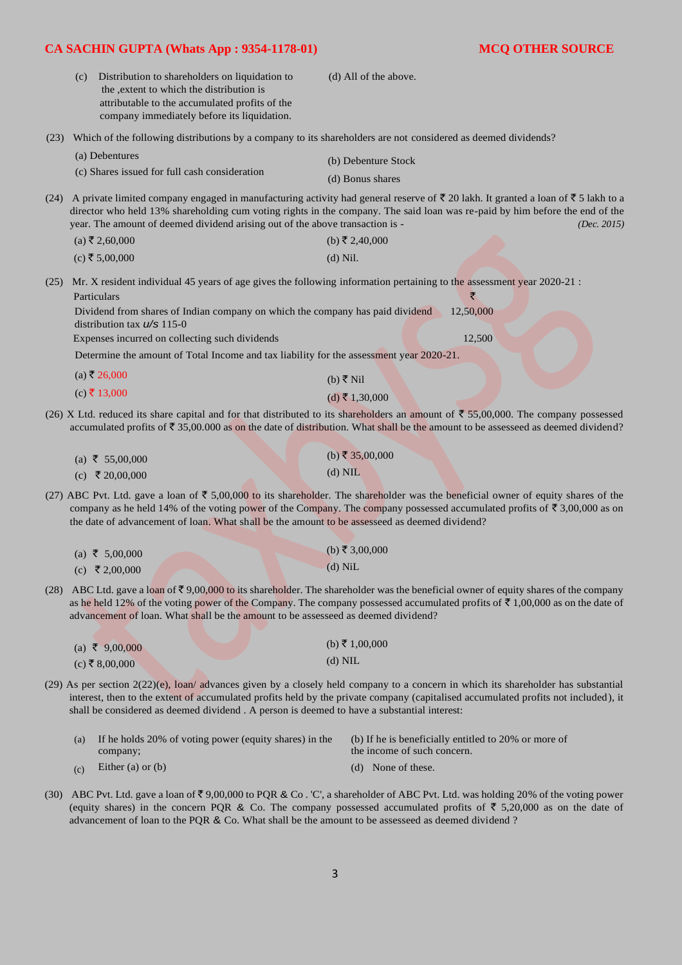|      | (c) | Distribution to shareholders on liquidation to<br>the , extent to which the distribution is<br>attributable to the accumulated profits of the<br>company immediately before its liquidation.                                                                                                                                                   | (d) All of the above.                   |                |             |
|------|-----|------------------------------------------------------------------------------------------------------------------------------------------------------------------------------------------------------------------------------------------------------------------------------------------------------------------------------------------------|-----------------------------------------|----------------|-------------|
| (23) |     | Which of the following distributions by a company to its shareholders are not considered as deemed dividends?                                                                                                                                                                                                                                  |                                         |                |             |
|      |     | (a) Debentures<br>(c) Shares issued for full cash consideration                                                                                                                                                                                                                                                                                | (b) Debenture Stock<br>(d) Bonus shares |                |             |
| (24) |     | A private limited company engaged in manufacturing activity had general reserve of ₹20 lakh. It granted a loan of ₹5 lakh to a<br>director who held 13% shareholding cum voting rights in the company. The said loan was re-paid by him before the end of the<br>year. The amount of deemed dividend arising out of the above transaction is - |                                         |                | (Dec. 2015) |
|      |     | $(a)$ ₹ 2,60,000                                                                                                                                                                                                                                                                                                                               | (b) ₹ 2,40,000                          |                |             |
|      |     | $(c)$ ₹ 5,00,000                                                                                                                                                                                                                                                                                                                               | $(d)$ Nil.                              |                |             |
| (25) |     | Mr. X resident individual 45 years of age gives the following information pertaining to the assessment year 2020-21 :<br>Particulars<br>Dividend from shares of Indian company on which the company has paid dividend<br>distribution tax $\frac{\mu}{s}$ 115-0                                                                                |                                         | ₹<br>12,50,000 |             |
|      |     | Expenses incurred on collecting such dividends                                                                                                                                                                                                                                                                                                 |                                         | 12,500         |             |
|      |     | Determine the amount of Total Income and tax liability for the assessment year 2020-21.                                                                                                                                                                                                                                                        |                                         |                |             |
|      |     | $(a)$ ₹ 26,000                                                                                                                                                                                                                                                                                                                                 | (b) ₹ Nil                               |                |             |
|      |     | $(c)$ ₹ 13,000                                                                                                                                                                                                                                                                                                                                 | $(d)$ ₹ 1,30,000                        |                |             |
|      |     | (26) X Ltd. reduced its share capital and for that distributed to its shareholders an amount of $\bar{\tau}$ 55,00,000. The company possessed<br>accumulated profits of $\overline{5}$ 35,00.000 as on the date of distribution. What shall be the amount to be assesseed as deemed dividend?                                                  |                                         |                |             |

| (a) ₹ 55,00,000 | (b) ₹ 35,00,000 |
|-----------------|-----------------|
| (c) ₹ 20,00,000 | $(d)$ NIL       |

(27) ABC Pvt. Ltd. gave a loan of  $\overline{5}$  5,00,000 to its shareholder. The shareholder was the beneficial owner of equity shares of the company as he held 14% of the voting power of the Company. The company possessed accumulated profits of  $\bar{\tau}$  3,00,000 as on the date of advancement of loan. What shall be the amount to be assesseed as deemed dividend?

| (a) ₹ 5,00,000 | (b) ₹ 3,00,000 |
|----------------|----------------|
| (c) ₹ 2,00,000 | $(d)$ NiL      |

(28) ABC Ltd. gave a loan of  $\overline{\xi}$  9,00,000 to its shareholder. The shareholder was the beneficial owner of equity shares of the company as he held 12% of the voting power of the Company. The company possessed accumulated profits of  $\bar{\tau}$  1,00,000 as on the date of advancement of loan. What shall be the amount to be assesseed as deemed dividend?

 $(a)$  ₹ 9,00,000

 $(c)$  ₹ 8,00,000

(29) As per section 2(22)(e), loan/ advances given by a closely held company to a concern in which its shareholder has substantial interest, then to the extent of accumulated profits held by the private company (capitalised accumulated profits not included), it shall be considered as deemed dividend . A person is deemed to have a substantial interest:

 $(b)$  ₹ 1,00,000 (d) NIL

| (a) If he holds 20% of voting power (equity shares) in the | (b) If he is beneficially entitled to 20% or more of |
|------------------------------------------------------------|------------------------------------------------------|
| company:                                                   | the income of such concern.                          |
| (c) Either (a) or (b)                                      | (d) None of these.                                   |

- Either (a) or (b)
- (30) ABC Pvt. Ltd. gave a loan of  $\overline{5}9,00,000$  to PQR & Co. 'C', a shareholder of ABC Pvt. Ltd. was holding 20% of the voting power (equity shares) in the concern PQR & Co. The company possessed accumulated profits of  $\bar{\tau}$  5,20,000 as on the date of advancement of loan to the PQR & Co. What shall be the amount to be assesseed as deemed dividend ?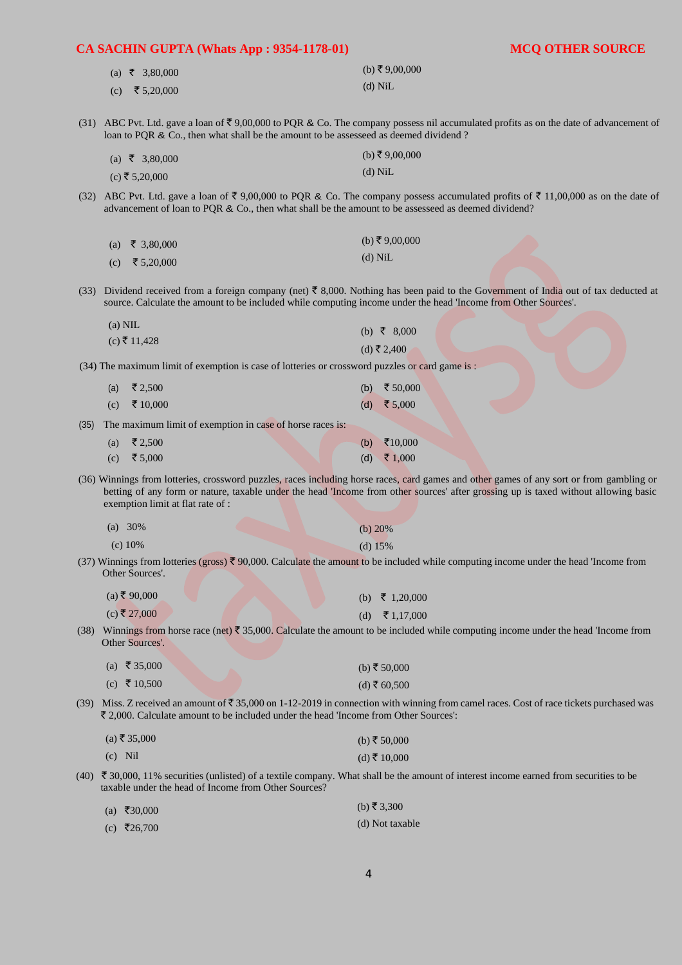| CA SACHIN GUPTA (Whats App: 9354-1178-01)                                                           | <b>MCQ OTHER SOURCE</b>                                                                                                                                                                                                                                                         |
|-----------------------------------------------------------------------------------------------------|---------------------------------------------------------------------------------------------------------------------------------------------------------------------------------------------------------------------------------------------------------------------------------|
| (a) ₹ 3,80,000                                                                                      | (b) ₹9,00,000                                                                                                                                                                                                                                                                   |
| ₹ 5,20,000<br>(c)                                                                                   | $(d)$ NiL                                                                                                                                                                                                                                                                       |
|                                                                                                     |                                                                                                                                                                                                                                                                                 |
| loan to PQR & Co., then what shall be the amount to be assesseed as deemed dividend?                | (31) ABC Pvt. Ltd. gave a loan of $\xi$ 9,00,000 to PQR & Co. The company possess nil accumulated profits as on the date of advancement of                                                                                                                                      |
| (a) ₹ 3,80,000                                                                                      | (b) ₹9,00,000                                                                                                                                                                                                                                                                   |
| $(c)$ ₹ 5,20,000                                                                                    | $(d)$ NiL                                                                                                                                                                                                                                                                       |
| advancement of loan to PQR & Co., then what shall be the amount to be assesseed as deemed dividend? | (32) ABC Pvt. Ltd. gave a loan of $\overline{\xi}$ 9,00,000 to PQR & Co. The company possess accumulated profits of $\overline{\xi}$ 11,00,000 as on the date of                                                                                                                |
| ₹ 3,80,000<br>(a)                                                                                   | (b) ₹9,00,000                                                                                                                                                                                                                                                                   |
| ₹ 5,20,000<br>(c)                                                                                   | $(d)$ NiL                                                                                                                                                                                                                                                                       |
|                                                                                                     |                                                                                                                                                                                                                                                                                 |
| (33)                                                                                                | Dividend received from a foreign company (net) $\bar{\tau}$ 8,000. Nothing has been paid to the Government of India out of tax deducted at<br>source. Calculate the amount to be included while computing income under the head 'Income from Other Sources'.                    |
| $(a)$ NIL                                                                                           | (b) ₹ 8,000                                                                                                                                                                                                                                                                     |
| $(c)$ ₹ 11,428                                                                                      | (d) ₹ 2,400                                                                                                                                                                                                                                                                     |
| (34) The maximum limit of exemption is case of lotteries or crossword puzzles or card game is :     |                                                                                                                                                                                                                                                                                 |
| ₹ 2,500<br>(a)                                                                                      | ₹ 50,000<br>(b)                                                                                                                                                                                                                                                                 |
| ₹ 10,000<br>(c)                                                                                     | ₹ $5,000$<br>(d)                                                                                                                                                                                                                                                                |
| The maximum limit of exemption in case of horse races is:<br>(35)                                   |                                                                                                                                                                                                                                                                                 |
| ₹ 2,500<br>(a)                                                                                      | ₹ $10,000$<br>(b)                                                                                                                                                                                                                                                               |
| ₹ 5,000<br>(c)                                                                                      | ₹ 1,000<br>(d)                                                                                                                                                                                                                                                                  |
| exemption limit at flat rate of :                                                                   | (36) Winnings from lotteries, crossword puzzles, races including horse races, card games and other games of any sort or from gambling or<br>betting of any form or nature, taxable under the head 'Income from other sources' after grossing up is taxed without allowing basic |
| (a) $30\%$                                                                                          | (b) $20%$                                                                                                                                                                                                                                                                       |
| (c) 10%                                                                                             | (d) $15%$                                                                                                                                                                                                                                                                       |
| Other Sources'.                                                                                     | (37) Winnings from lotteries (gross) $\bar{\xi}$ 90,000. Calculate the amount to be included while computing income under the head 'Income from                                                                                                                                 |
| $(a)$ ₹ 90,000                                                                                      | ₹ 1,20,000<br>(b)                                                                                                                                                                                                                                                               |
| $(c)$ ₹ 27,000                                                                                      | ₹ 1,17,000<br>(d)                                                                                                                                                                                                                                                               |
| Other Sources'.                                                                                     | (38) Winnings from horse race (net) $\bar{\xi}$ 35,000. Calculate the amount to be included while computing income under the head 'Income from                                                                                                                                  |
| (a) ₹ 35,000                                                                                        | (b) ₹ $50,000$                                                                                                                                                                                                                                                                  |
| (c) ₹ 10,500                                                                                        | (d) ₹ $60,500$                                                                                                                                                                                                                                                                  |
| ₹ 2,000. Calculate amount to be included under the head 'Income from Other Sources':                | (39) Miss. Z received an amount of ₹35,000 on 1-12-2019 in connection with winning from camel races. Cost of race tickets purchased was                                                                                                                                         |
| $(a)$ ₹ 35,000                                                                                      | (b) ₹ 50,000                                                                                                                                                                                                                                                                    |
| $(c)$ Nil                                                                                           | (d) ₹ 10,000                                                                                                                                                                                                                                                                    |
| taxable under the head of Income from Other Sources?                                                | (40) ₹ 30,000, 11% securities (unlisted) of a textile company. What shall be the amount of interest income earned from securities to be                                                                                                                                         |
| (a) ₹30,000                                                                                         | (b) ₹ 3,300                                                                                                                                                                                                                                                                     |
| (c) ₹26,700                                                                                         | (d) Not taxable                                                                                                                                                                                                                                                                 |
|                                                                                                     |                                                                                                                                                                                                                                                                                 |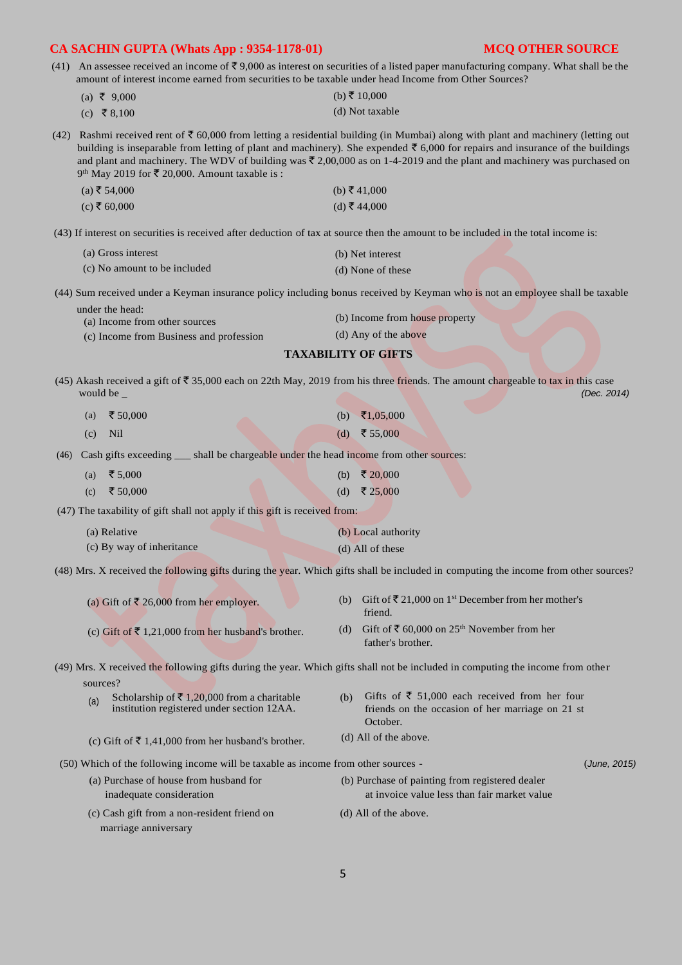(41) An assessee received an income of  $\overline{\mathfrak{S}}$  9,000 as interest on securities of a listed paper manufacturing company. What shall be the amount of interest income earned from securities to be taxable under head Income from Other Sources?

| (a) ₹ 9,000 | (b) ₹ 10,000    |
|-------------|-----------------|
| (c) ₹8,100  | (d) Not taxable |

(42) Rashmi received rent of  $\bar{\tau}$  60,000 from letting a residential building (in Mumbai) along with plant and machinery (letting out building is inseparable from letting of plant and machinery). She expended  $\bar{\tau}$  6,000 for repairs and insurance of the buildings and plant and machinery. The WDV of building was  $\bar{\tau}$  2,00,000 as on 1-4-2019 and the plant and machinery was purchased on 9<sup>th</sup> May 2019 for  $\bar{\mathfrak{c}}$  20,000. Amount taxable is :

| (a) ₹ 54,000 | (b) ₹ 41,000 |
|--------------|--------------|
| (c) ₹ 60,000 | (d) ₹ 44,000 |

(43) If interest on securities is received after deduction of tax at source then the amount to be included in the total income is:

| (a) Gross interest           | (b) Net interest  |
|------------------------------|-------------------|
| (c) No amount to be included | (d) None of these |

(44) Sum received under a Keyman insurance policy including bonus received by Keyman who is not an employee shall be taxable

| under the head:                         |                                |
|-----------------------------------------|--------------------------------|
| (a) Income from other sources           | (b) Income from house property |
| (c) Income from Rusiness and profession | (d) Any of the above           |

(c) Income from Business and profession

# **TAXABILITY OF GIFTS**

(45) Akash received a gift of  $\overline{\phantom{0}} 35,000$  each on 22th May, 2019 from his three friends. The amount chargeable to tax in this case would be \_ (Dec. 2014) would be \_ *(Dec. 2014)* 

| (a) ₹ 50,000 |  |  | (b) $\bar{x}1,05,000$ |
|--------------|--|--|-----------------------|
| $(c)$ Nil    |  |  | (d) ₹55,000           |

(46) Cash gifts exceeding \_\_\_ shall be chargeable under the head income from other sources:

| (a) ₹ 5,000  |  | (b) ₹ 20,000 |
|--------------|--|--------------|
| (c) ₹ 50,000 |  | (d) ₹25,000  |

(47) The taxability of gift shall not apply if this gift is received from:

| (a) Relative              | (b) Local authority |
|---------------------------|---------------------|
| (c) By way of inheritance | (d) All of these    |

(48) Mrs. X received the following gifts during the year. Which gifts shall be included in computing the income from other sources?

| (a) Gift of ₹ 26,000 from her employer.                      | (b) Gift of $\bar{\xi}$ 21,000 on 1 <sup>st</sup> December from her mother's<br>friend.            |
|--------------------------------------------------------------|----------------------------------------------------------------------------------------------------|
| (c) Gift of $\bar{\xi}$ 1.21.000 from her husband's brother. | (d) Gift of $\bar{\mathfrak{c}}$ 60,000 on 25 <sup>th</sup> November from her<br>father's brother. |

(49) Mrs. X received the following gifts during the year. Which gifts shall not be included in computing the income from othe r sources?

| (a) | Scholarship of ₹1,20,000 from a charitable<br>institution registered under section 12AA. | (h) | Gifts of $\bar{\xi}$ 51,000 each received from her four<br>friends on the occasion of her marriage on 21 st<br>October. |
|-----|------------------------------------------------------------------------------------------|-----|-------------------------------------------------------------------------------------------------------------------------|
|     | (c) Gift of $\bar{\tau}$ 1,41,000 from her husband's brother.                            |     | (d) All of the above.                                                                                                   |

(50) Which of the following income will be taxable as income from other sources - (*June, 2015)* 

- (a) Purchase of house from husband for (b) Purchase of painting from registered dealer inadequate consideration at invoice value less than fair market value
- (c) Cash gift from a non-resident friend on (d) All of the above. marriage anniversary
	-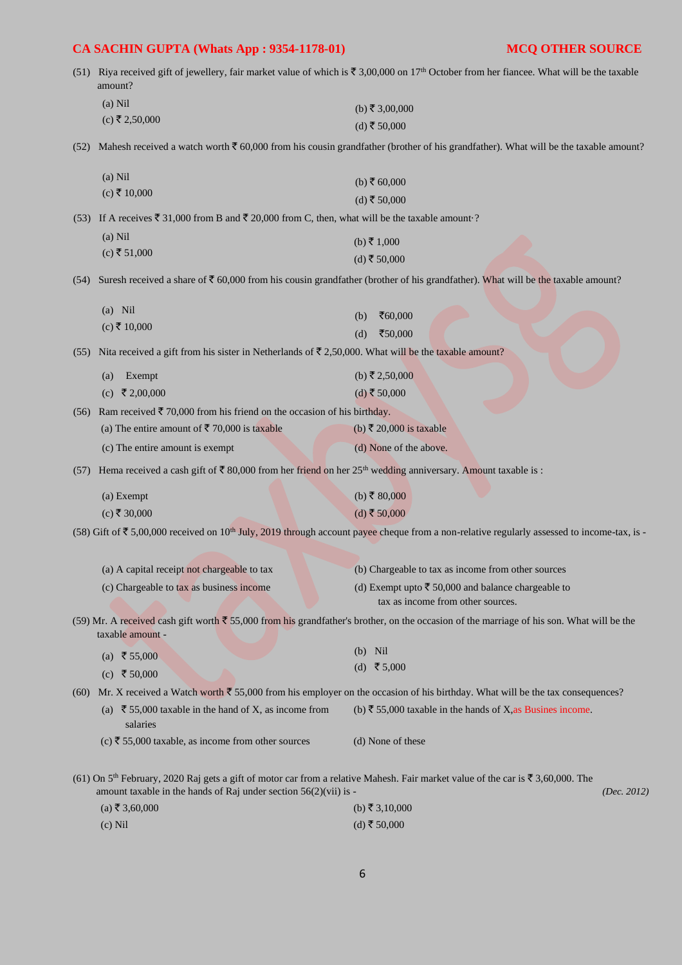|      | amount?                                                                                                                                                                                                                              | (51) Riya received gift of jewellery, fair market value of which is $\bar{\mathfrak{c}}$ 3,00,000 on 17 <sup>th</sup> October from her fiancee. What will be the taxable |
|------|--------------------------------------------------------------------------------------------------------------------------------------------------------------------------------------------------------------------------------------|--------------------------------------------------------------------------------------------------------------------------------------------------------------------------|
|      | $(a)$ Nil                                                                                                                                                                                                                            | (b) ₹ 3,00,000                                                                                                                                                           |
|      | $(c)$ ₹ 2,50,000                                                                                                                                                                                                                     | (d) ₹ 50,000                                                                                                                                                             |
| (52) |                                                                                                                                                                                                                                      | Mahesh received a watch worth $\bar{\tau}$ 60,000 from his cousin grandfather (brother of his grandfather). What will be the taxable amount?                             |
|      | $(a)$ Nil                                                                                                                                                                                                                            | (b) ₹ $60,000$                                                                                                                                                           |
|      | $(c)$ ₹ 10,000                                                                                                                                                                                                                       | $(d)$ ₹ 50,000                                                                                                                                                           |
| (53) | If A receives $\bar{\xi}$ 31,000 from B and $\bar{\xi}$ 20,000 from C, then, what will be the taxable amount ?                                                                                                                       |                                                                                                                                                                          |
|      | $(a)$ Nil                                                                                                                                                                                                                            | (b) ₹ 1,000                                                                                                                                                              |
|      | $(c)$ ₹ 51,000                                                                                                                                                                                                                       | (d) ₹ 50,000                                                                                                                                                             |
| (54) |                                                                                                                                                                                                                                      | Suresh received a share of $\bar{\xi}$ 60,000 from his cousin grandfather (brother of his grandfather). What will be the taxable amount?                                 |
|      | $(a)$ Nil                                                                                                                                                                                                                            | ₹60,000<br>(b)                                                                                                                                                           |
|      | $(c)$ ₹ 10,000                                                                                                                                                                                                                       | ₹50,000<br>(d)                                                                                                                                                           |
| (55) | Nita received a gift from his sister in Netherlands of $\bar{\tau}$ 2,50,000. What will be the taxable amount?                                                                                                                       |                                                                                                                                                                          |
|      | Exempt<br>(a)                                                                                                                                                                                                                        | (b) ₹ 2,50,000                                                                                                                                                           |
|      | (c) ₹ 2,00,000                                                                                                                                                                                                                       | (d) ₹ 50,000                                                                                                                                                             |
| (56) | Ram received ₹ 70,000 from his friend on the occasion of his birthday.                                                                                                                                                               |                                                                                                                                                                          |
|      | (a) The entire amount of ₹70,000 is taxable                                                                                                                                                                                          | (b) ₹ 20,000 is taxable                                                                                                                                                  |
|      | (c) The entire amount is exempt                                                                                                                                                                                                      | (d) None of the above.                                                                                                                                                   |
| (57) | Hema received a cash gift of $\bar{\tau}$ 80,000 from her friend on her 25 <sup>th</sup> wedding anniversary. Amount taxable is :                                                                                                    |                                                                                                                                                                          |
|      | (a) Exempt                                                                                                                                                                                                                           | (b) ₹ 80,000                                                                                                                                                             |
|      | $(c)$ ₹ 30,000                                                                                                                                                                                                                       | $(d)$ ₹ 50,000                                                                                                                                                           |
|      |                                                                                                                                                                                                                                      | (58) Gift of ₹ 5,00,000 received on 10 <sup>th</sup> July, 2019 through account payee cheque from a non-relative regularly assessed to income-tax, is -                  |
|      | (a) A capital receipt not chargeable to tax                                                                                                                                                                                          | (b) Chargeable to tax as income from other sources                                                                                                                       |
|      | (c) Chargeable to tax as business income                                                                                                                                                                                             | (d) Exempt upto ₹ 50,000 and balance chargeable to<br>tax as income from other sources.                                                                                  |
|      | taxable amount -                                                                                                                                                                                                                     | (59) Mr. A received cash gift worth $\bar{\xi}$ 55,000 from his grandfather's brother, on the occasion of the marriage of his son. What will be the                      |
|      | (a) ₹ 55,000                                                                                                                                                                                                                         | $(b)$ Nil                                                                                                                                                                |
|      | (c) ₹ 50,000                                                                                                                                                                                                                         | (d) ₹5,000                                                                                                                                                               |
| (60) |                                                                                                                                                                                                                                      | Mr. X received a Watch worth $\bar{\xi}$ 55,000 from his employer on the occasion of his birthday. What will be the tax consequences?                                    |
|      | (a) ₹ 55,000 taxable in the hand of X, as income from<br>salaries                                                                                                                                                                    | (b) ₹ 55,000 taxable in the hands of X, as Busines income.                                                                                                               |
|      | (c) ₹ 55,000 taxable, as income from other sources                                                                                                                                                                                   | (d) None of these                                                                                                                                                        |
|      | (61) On 5 <sup>th</sup> February, 2020 Raj gets a gift of motor car from a relative Mahesh. Fair market value of the car is $\bar{\tau}$ 3,60,000. The<br>amount taxable in the hands of Raj under section $56(2)(\n{\rm vii})$ is - | (Dec. 2012)                                                                                                                                                              |
|      | $(a)$ ₹ 3,60,000                                                                                                                                                                                                                     | (b) ₹ 3,10,000                                                                                                                                                           |
|      | $(c)$ Nil                                                                                                                                                                                                                            | (d) ₹ 50,000                                                                                                                                                             |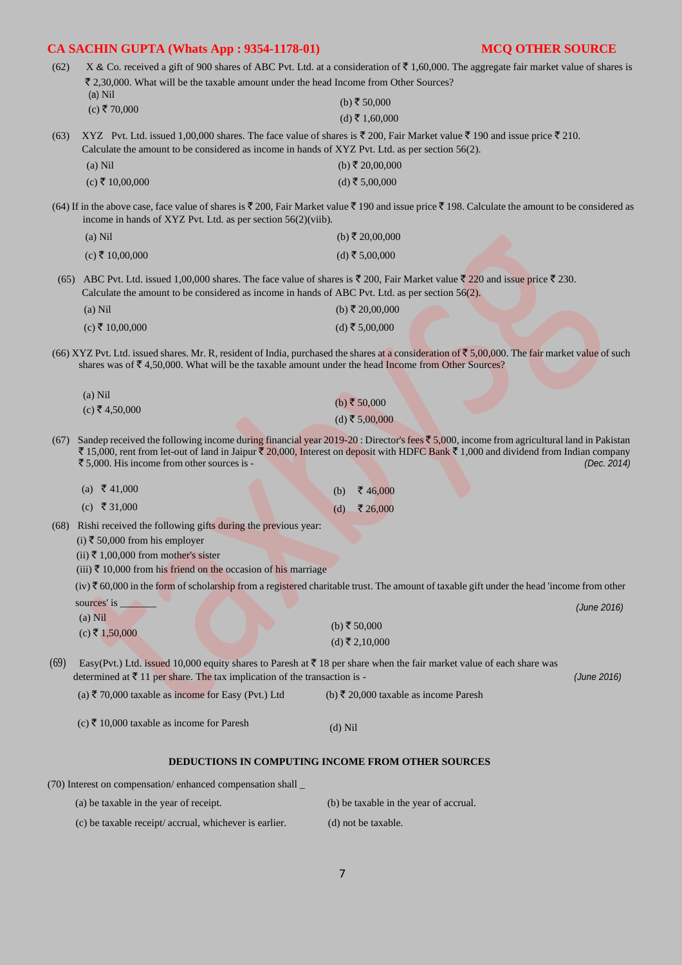| (62) |                                                                                                               | X & Co. received a gift of 900 shares of ABC Pvt. Ltd. at a consideration of $\bar{\ell}$ 1,60,000. The aggregate fair market value of shares is                                                                                                                                                        |
|------|---------------------------------------------------------------------------------------------------------------|---------------------------------------------------------------------------------------------------------------------------------------------------------------------------------------------------------------------------------------------------------------------------------------------------------|
|      | ₹ 2,30,000. What will be the taxable amount under the head Income from Other Sources?<br>$(a)$ Nil            |                                                                                                                                                                                                                                                                                                         |
|      | $(c)$ ₹70,000                                                                                                 | (b) ₹ 50,000                                                                                                                                                                                                                                                                                            |
|      |                                                                                                               | (d) ₹ 1,60,000                                                                                                                                                                                                                                                                                          |
| (63) | Calculate the amount to be considered as income in hands of XYZ Pvt. Ltd. as per section 56(2).               | XYZ Pvt. Ltd. issued 1,00,000 shares. The face value of shares is $\bar{\xi}$ 200, Fair Market value $\bar{\xi}$ 190 and issue price $\bar{\xi}$ 210.                                                                                                                                                   |
|      | $(a)$ Nil                                                                                                     | (b) ₹ 20,00,000                                                                                                                                                                                                                                                                                         |
|      | $(c)$ ₹ 10,00,000                                                                                             | $(d)$ ₹ 5,00,000                                                                                                                                                                                                                                                                                        |
|      | income in hands of XYZ Pvt. Ltd. as per section $56(2)$ (viib).                                               | (64) If in the above case, face value of shares is $\bar{\xi}$ 200, Fair Market value $\bar{\xi}$ 190 and issue price $\bar{\xi}$ 198. Calculate the amount to be considered as                                                                                                                         |
|      | $(a)$ Nil                                                                                                     | (b) ₹ 20,00,000                                                                                                                                                                                                                                                                                         |
|      | $(c)$ ₹ 10,00,000                                                                                             | (d) ₹ 5,00,000                                                                                                                                                                                                                                                                                          |
|      | Calculate the amount to be considered as income in hands of ABC Pvt. Ltd. as per section 56(2).               | (65) ABC Pvt. Ltd. issued 1,00,000 shares. The face value of shares is ₹ 200, Fair Market value ₹ 220 and issue price ₹ 230.                                                                                                                                                                            |
|      | $(a)$ Nil                                                                                                     | (b) ₹ 20,00,000                                                                                                                                                                                                                                                                                         |
|      | $(c)$ ₹ 10,00,000                                                                                             | (d) ₹ 5,00,000                                                                                                                                                                                                                                                                                          |
|      | shares was of $\bar{\xi}$ 4,50,000. What will be the taxable amount under the head Income from Other Sources? | (66) XYZ Pvt. Ltd. issued shares. Mr. R, resident of India, purchased the shares at a consideration of $\zeta$ 5,00,000. The fair market value of such                                                                                                                                                  |
|      | $(a)$ Nil                                                                                                     | (b) ₹ 50,000                                                                                                                                                                                                                                                                                            |
|      | $(c)$ ₹ 4,50,000                                                                                              | $(d)$ ₹ 5,00,000                                                                                                                                                                                                                                                                                        |
| (67) | ₹ 5,000. His income from other sources is -                                                                   | Sandep received the following income during financial year 2019-20 : Director's fees $\bar{\xi}$ 5,000, income from agricultural land in Pakistan<br>₹ 15,000, rent from let-out of land in Jaipur ₹ 20,000, Interest on deposit with HDFC Bank ₹ 1,000 and dividend from Indian company<br>(Dec. 2014) |
|      | (a) ₹ 41,000                                                                                                  | ₹ 46,000<br>(b)                                                                                                                                                                                                                                                                                         |
|      | (c) ₹ 31,000                                                                                                  | ₹ 26,000<br>(d)                                                                                                                                                                                                                                                                                         |
|      | (68) Rishi received the following gifts during the previous year:                                             |                                                                                                                                                                                                                                                                                                         |
|      | (i) ₹ 50,000 from his employer                                                                                |                                                                                                                                                                                                                                                                                                         |
|      | (ii) ₹ 1,00,000 from mother's sister                                                                          |                                                                                                                                                                                                                                                                                                         |
|      | (iii) ₹ 10,000 from his friend on the occasion of his marriage                                                | $(iv)$ $\bar{\tau}$ 60,000 in the form of scholarship from a registered charitable trust. The amount of taxable gift under the head 'income from other                                                                                                                                                  |
|      | sources' is                                                                                                   |                                                                                                                                                                                                                                                                                                         |
|      | $(a)$ Nil                                                                                                     | (June 2016)                                                                                                                                                                                                                                                                                             |
|      | $(c)$ ₹ 1,50,000                                                                                              | (b) ₹ $50,000$                                                                                                                                                                                                                                                                                          |
|      |                                                                                                               | $(d)$ ₹ 2,10,000                                                                                                                                                                                                                                                                                        |
| (69) | determined at $\bar{\tau}$ 11 per share. The tax implication of the transaction is -                          | Easy(Pvt.) Ltd. issued 10,000 equity shares to Paresh at $\bar{\tau}$ 18 per share when the fair market value of each share was<br>(June 2016)                                                                                                                                                          |
|      | (a) ₹ 70,000 taxable as income for Easy (Pvt.) Ltd                                                            | (b) ₹ 20,000 taxable as income Paresh                                                                                                                                                                                                                                                                   |
|      | (c) ₹ 10,000 taxable as income for Paresh                                                                     | $(d)$ Nil                                                                                                                                                                                                                                                                                               |
|      |                                                                                                               | <b>DEDUCTIONS IN COMPUTING INCOME FROM OTHER SOURCES</b>                                                                                                                                                                                                                                                |
|      | (70) Interest on compensation/enhanced compensation shall _                                                   |                                                                                                                                                                                                                                                                                                         |
|      | (a) be taxable in the year of receipt.                                                                        | (b) be taxable in the year of accrual.                                                                                                                                                                                                                                                                  |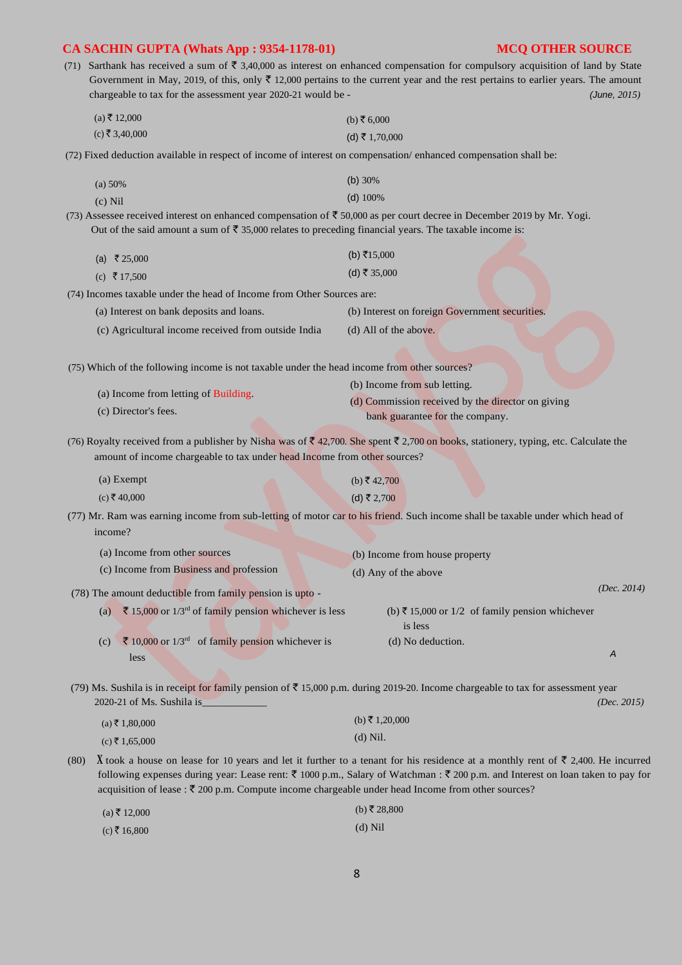(71) Sarthank has received a sum of  $\overline{5}$  3,40,000 as interest on enhanced compensation for compulsory acquisition of land by State Government in May, 2019, of this, only  $\bar{\tau}$  12,000 pertains to the current year and the rest pertains to earlier years. The amount chargeable to tax for the assessment year 2020-21 would be - *(June, 2015)* 

| $(a)$ ₹ 12,000   | (b) ₹ 6,000    |
|------------------|----------------|
| $(c)$ ₹ 3,40,000 | (d) ₹ 1,70,000 |

(72) Fixed deduction available in respect of income of interest on compensation/ enhanced compensation shall be:

| (a) 50%   | (b) $30\%$ |
|-----------|------------|
| $(c)$ Nil | $(d)$ 100% |

(73) Assessee received interest on enhanced compensation of  $\overline{5}$  50,000 as per court decree in December 2019 by Mr. Yogi. Out of the said amount a sum of  $\overline{5}$  35,000 relates to preceding financial years. The taxable income is:

| (a) ₹25,000 | (b) ₹15,000  |
|-------------|--------------|
| (c) ₹17,500 | (d) ₹ 35,000 |

(74) Incomes taxable under the head of Income from Other Sources are:

(a) Interest on bank deposits and loans. (b) Interest on foreign Government securities.

(c) Agricultural income received from outside India (d) All of the above.

(75) Which of the following income is not taxable under the head income from other sources?

|                                     | (b) Income from sub letting.                      |
|-------------------------------------|---------------------------------------------------|
| (a) Income from letting of Building | (d) Commission received by the director on giving |
| (c) Director's fees.                | bank guarantee for the company.                   |

(76) Royalty received from a publisher by Nisha was of  $\bar{\xi}$  42,700. She spent  $\bar{\xi}$  2,700 on books, stationery, typing, etc. Calculate the amount of income chargeable to tax under head Income from other sources?

| (a) Exempt   |  | (b) ₹42,700 |
|--------------|--|-------------|
| (c) ₹ 40,000 |  | (d) ₹ 2,700 |

(77) Mr. Ram was earning income from sub-letting of motor car to his friend. Such income shall be taxable under which head of income?

|             | (a) Income from other sources                              | (b) Income from house property |                                                 |             |
|-------------|------------------------------------------------------------|--------------------------------|-------------------------------------------------|-------------|
|             | (c) Income from Business and profession                    | (d) Any of the above           |                                                 |             |
|             | (78) The amount deductible from family pension is upto -   |                                |                                                 | (Dec. 2014) |
| (a)         | ₹ 15,000 or $1/3^{rd}$ of family pension whichever is less | is less                        | (b) ₹ 15,000 or 1/2 of family pension whichever |             |
| (c)<br>less | ₹ 10,000 or $1/3^{rd}$ of family pension whichever is      | (d) No deduction.              |                                                 | A           |

(79) Ms. Sushila is in receipt for family pension of  $\bar{\mathfrak{F}}$  15,000 p.m. during 2019-20. Income chargeable to tax for assessment year 2020-21 of Ms. Sushila is\_\_\_\_\_\_\_\_\_\_\_\_ *(Dec. 2015)* 

| (a) ₹ 1,80,000 | (b) ₹ 1,20,000 |
|----------------|----------------|
| (c) ₹ 1,65,000 | $(d)$ Nil.     |

(80) **X** took a house on lease for 10 years and let it further to a tenant for his residence at a monthly rent of  $\overline{\epsilon}$  2,400. He incurred following expenses during year: Lease rent:  $\bar{\zeta}$  1000 p.m., Salary of Watchman :  $\bar{\zeta}$  200 p.m. and Interest on loan taken to pay for acquisition of lease :  $\overline{\mathfrak{Z}}$  200 p.m. Compute income chargeable under head Income from other sources?

 $\overline{0}$ 

| $(a)$ ₹ 12,000 | (b) $\zeta$ 28.8 |
|----------------|------------------|
| $(c)$ ₹ 16,800 | $(d)$ Nil        |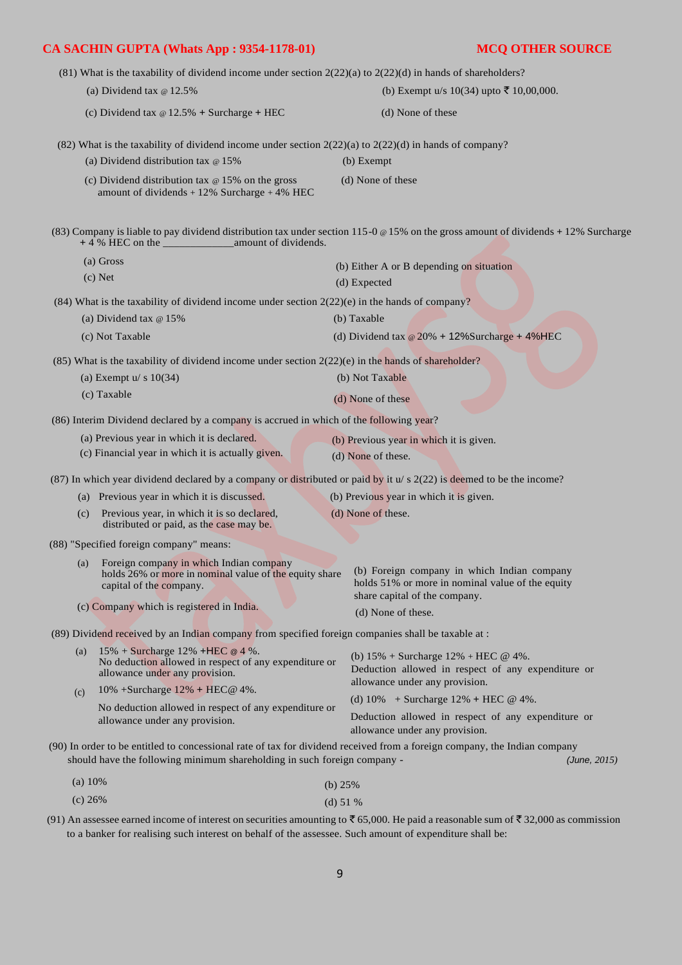|         | $(81)$ What is the taxability of dividend income under section $2(22)(a)$ to $2(22)(d)$ in hands of shareholders?           |                                           |                                                                                                                                                                                         |
|---------|-----------------------------------------------------------------------------------------------------------------------------|-------------------------------------------|-----------------------------------------------------------------------------------------------------------------------------------------------------------------------------------------|
|         | (a) Dividend tax $\in$ 12.5%                                                                                                |                                           | (b) Exempt u/s 10(34) upto ₹ 10,00,000.                                                                                                                                                 |
|         | (c) Dividend tax $\omega$ 12.5% + Surcharge + HEC                                                                           |                                           | (d) None of these                                                                                                                                                                       |
|         | (82) What is the taxability of dividend income under section $2(22)(a)$ to $2(22)(d)$ in hands of company?                  |                                           |                                                                                                                                                                                         |
|         | (a) Dividend distribution tax $\infty$ 15%                                                                                  |                                           | (b) Exempt                                                                                                                                                                              |
|         | (c) Dividend distribution tax $\infty$ 15% on the gross<br>amount of dividends $+12\%$ Surcharge $+4\%$ HEC                 |                                           | (d) None of these                                                                                                                                                                       |
|         |                                                                                                                             |                                           | (83) Company is liable to pay dividend distribution tax under section 115-0 @ 15% on the gross amount of dividends + 12% Surcharge                                                      |
|         | (a) Gross                                                                                                                   |                                           | (b) Either A or B depending on situation                                                                                                                                                |
|         | $(c)$ Net                                                                                                                   |                                           | (d) Expected                                                                                                                                                                            |
|         | $(84)$ What is the taxability of dividend income under section $2(22)(e)$ in the hands of company?                          |                                           |                                                                                                                                                                                         |
|         | (a) Dividend tax $@15\%$                                                                                                    |                                           | (b) Taxable                                                                                                                                                                             |
|         | (c) Not Taxable                                                                                                             |                                           | (d) Dividend tax $\omega$ 20% + 12%Surcharge + 4%HEC                                                                                                                                    |
|         | $(85)$ What is the taxability of dividend income under section $2(22)(e)$ in the hands of shareholder?                      |                                           |                                                                                                                                                                                         |
|         | (a) Exempt $u/s$ 10(34)                                                                                                     |                                           | (b) Not Taxable                                                                                                                                                                         |
|         | (c) Taxable                                                                                                                 |                                           | (d) None of these                                                                                                                                                                       |
|         | (86) Interim Dividend declared by a company is accrued in which of the following year?                                      |                                           |                                                                                                                                                                                         |
|         | (a) Previous year in which it is declared.                                                                                  |                                           | (b) Previous year in which it is given.                                                                                                                                                 |
|         | (c) Financial year in which it is actually given.                                                                           |                                           | (d) None of these.                                                                                                                                                                      |
|         | (87) In which year dividend declared by a company or distributed or paid by it $u/s$ 2(22) is deemed to be the income?      |                                           |                                                                                                                                                                                         |
|         | (a) Previous year in which it is discussed.                                                                                 |                                           | (b) Previous year in which it is given.                                                                                                                                                 |
| (c)     | Previous year, in which it is so declared,<br>distributed or paid, as the case may be.                                      |                                           | (d) None of these.                                                                                                                                                                      |
|         | (88) "Specified foreign company" means:                                                                                     |                                           |                                                                                                                                                                                         |
| (a)     | Foreign company in which Indian company<br>capital of the company.                                                          |                                           | holds 26% or more in nominal value of the equity share (b) Foreign company in which Indian company<br>holds 51% or more in nominal value of the equity<br>share capital of the company. |
|         | (c) Company which is registered in India.                                                                                   |                                           | (d) None of these.                                                                                                                                                                      |
|         | (89) Dividend received by an Indian company from specified foreign companies shall be taxable at :                          |                                           |                                                                                                                                                                                         |
| (a)     | 15% + Surcharge 12% + HEC @ 4 %.<br>No deduction allowed in respect of any expenditure or<br>allowance under any provision. |                                           | (b) $15\%$ + Surcharge $12\%$ + HEC @ 4%.<br>Deduction allowed in respect of any expenditure or                                                                                         |
| (c)     | 10% +Surcharge 12% + HEC@ 4%.                                                                                               |                                           | allowance under any provision.                                                                                                                                                          |
|         | No deduction allowed in respect of any expenditure or                                                                       | (d) $10\%$ + Surcharge $12\%$ + HEC @ 4%. |                                                                                                                                                                                         |
|         | allowance under any provision.                                                                                              |                                           | Deduction allowed in respect of any expenditure or<br>allowance under any provision.                                                                                                    |
|         | should have the following minimum shareholding in such foreign company -                                                    |                                           | (90) In order to be entitled to concessional rate of tax for dividend received from a foreign company, the Indian company<br>(June, 2015)                                               |
| (a) 10% |                                                                                                                             | (b) $25%$                                 |                                                                                                                                                                                         |
| (c) 26% |                                                                                                                             | (d) $51%$                                 |                                                                                                                                                                                         |

(91) An assessee earned income of interest on securities amounting to  $\bar{c}$  65,000. He paid a reasonable sum of  $\bar{c}$  32,000 as commission to a banker for realising such interest on behalf of the assessee. Such amount of expenditure shall be: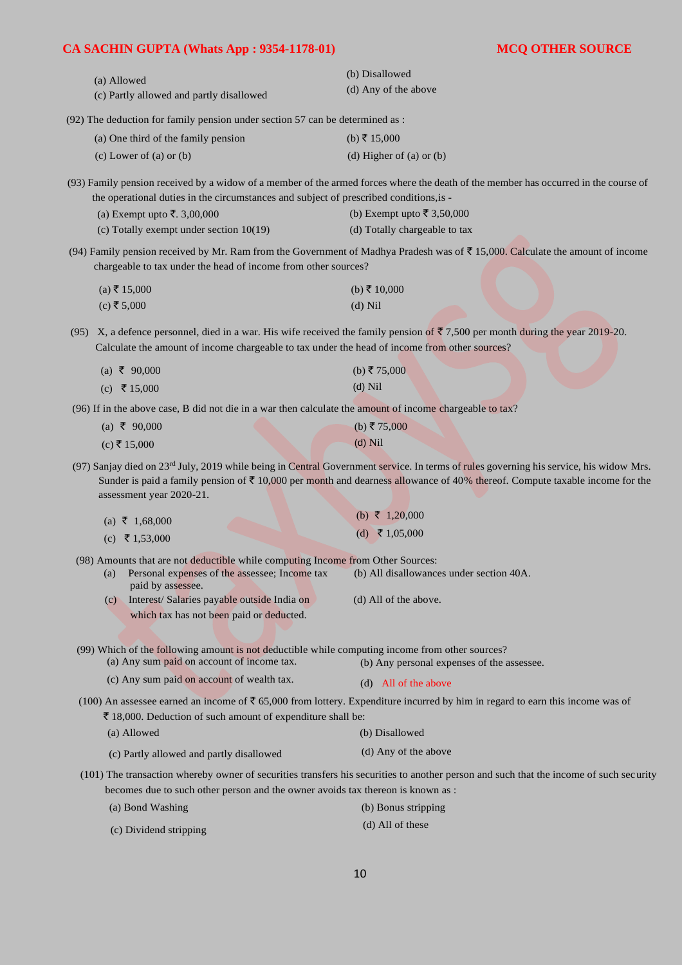| (a) Allowed                                                                     | (b) Disallowed       |
|---------------------------------------------------------------------------------|----------------------|
| (c) Partly allowed and partly disallowed                                        | (d) Any of the above |
| $(92)$ The deduction for family pension under section 57 can be determined as : |                      |

| (a) One third of the family pension | (b) ₹ 15,000             |
|-------------------------------------|--------------------------|
| (c) Lower of (a) or $(b)$           | (d) Higher of (a) or (b) |

(93) Family pension received by a widow of a member of the armed forces where the death of the member has occurred in the course of the operational duties in the circumstances and subject of prescribed conditions,is -

| (a) Exempt upto ₹. 3,00,000               | (b) Exempt upto ₹ 3,50,000    |
|-------------------------------------------|-------------------------------|
| (c) Totally exempt under section $10(19)$ | (d) Totally chargeable to tax |

(94) Family pension received by Mr. Ram from the Government of Madhya Pradesh was of  $\bar{\mathfrak{F}}$  15,000. Calculate the amount of income chargeable to tax under the head of income from other sources?

| (a) ₹ 15,000 | (b) ₹ 10,000 |  |
|--------------|--------------|--|
| (c) ₹ 5,000  | $(d)$ Nil    |  |

(95) X, a defence personnel, died in a war. His wife received the family pension of  $\overline{3}$  7,500 per month during the year 2019-20. Calculate the amount of income chargeable to tax under the head of income from other sources?

| (a) ₹ 90,000 | (b) ₹75,000 |
|--------------|-------------|
| (c) ₹ 15,000 | $(d)$ Nil   |

(96) If in the above case, B did not die in a war then calculate the amount of income chargeable to tax?

| (a) ₹ 90,000 | (b) ₹ 75,000 |
|--------------|--------------|
| (c) ₹ 15,000 | $(d)$ Nil    |

(97) Sanjay died on 23<sup>rd</sup> July, 2019 while being in Central Government service. In terms of rules governing his service, his widow Mrs. Sunder is paid a family pension of  $\overline{\tau}$  10,000 per month and dearness allowance of 40% thereof. Compute taxable income for the assessment year 2020-21.

| (a) ₹ 1,68,000 | (b) $\bar{\tau}$ 1,20,000 |
|----------------|---------------------------|
| (c) ₹ 1,53,000 | (d) ₹ 1,05,000            |

(98) Amounts that are not deductible while computing Income from Other Sources:

| Personal expenses of the assessee; Income tax | (b) All disallowances under section 40A. |
|-----------------------------------------------|------------------------------------------|
| paid by assessee.                             |                                          |

(c) Interest/ Salaries payable outside India on (d) All of the above. which tax has not been paid or deducted.

(99) Which of the following amount is not deductible while computing income from other sources?

(a) Any sum paid on account of income tax. (b) Any personal expenses of the assessee.

| (c) Any sum paid on account of wealth tax. | (d) All of the above |
|--------------------------------------------|----------------------|
|--------------------------------------------|----------------------|

(100) An assessee earned an income of  $\bar{\tau}$  65,000 from lottery. Expenditure incurred by him in regard to earn this income was of  $\bar{\tau}$  18,000. Deduction of such amount of expenditure shall be:

| (a) Allowed | (b) Disallowed |  |  |  |
|-------------|----------------|--|--|--|
|             |                |  |  |  |

- (c) Partly allowed and partly disallowed (d) Any of the above
- (101) The transaction whereby owner of securities transfers his securities to another person and such that the income of such security becomes due to such other person and the owner avoids tax thereon is known as :
	- (a) Bond Washing (b) Bonus stripping
	- (c) Dividend stripping (d) All of these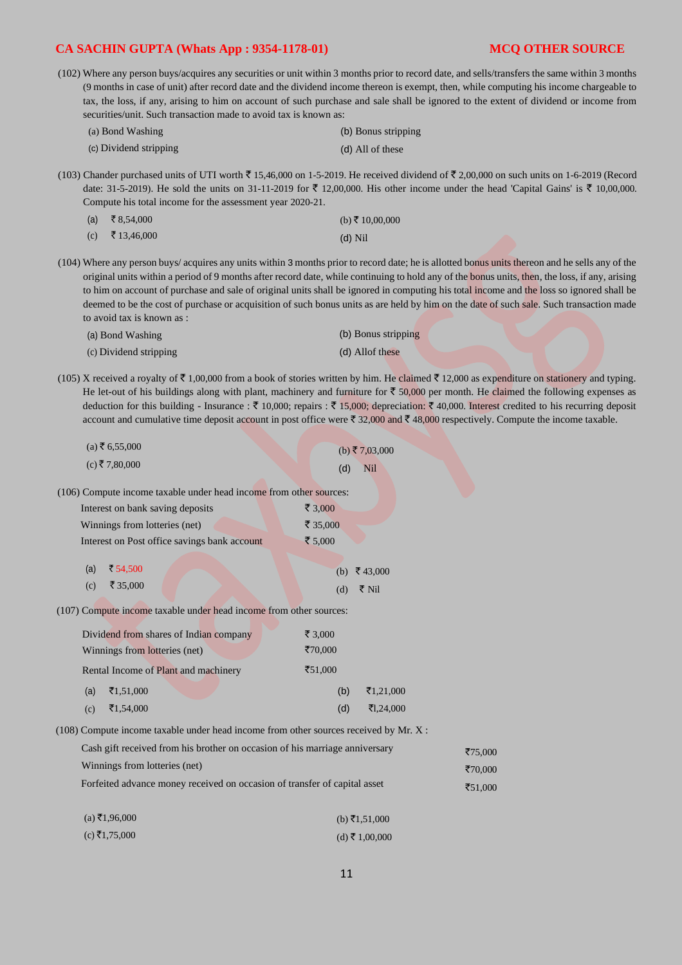|                                                                                                                                                                                                                                                                                                                                                                 |                                                                                                                                        | (102) Where any person buys/acquires any securities or unit within 3 months prior to record date, and sells/transfers the same within 3 months |  |  |  |  |
|-----------------------------------------------------------------------------------------------------------------------------------------------------------------------------------------------------------------------------------------------------------------------------------------------------------------------------------------------------------------|----------------------------------------------------------------------------------------------------------------------------------------|------------------------------------------------------------------------------------------------------------------------------------------------|--|--|--|--|
|                                                                                                                                                                                                                                                                                                                                                                 | (9 months in case of unit) after record date and the dividend income thereon is exempt, then, while computing his income chargeable to |                                                                                                                                                |  |  |  |  |
|                                                                                                                                                                                                                                                                                                                                                                 | tax, the loss, if any, arising to him on account of such purchase and sale shall be ignored to the extent of dividend or income from   |                                                                                                                                                |  |  |  |  |
|                                                                                                                                                                                                                                                                                                                                                                 | securities/unit. Such transaction made to avoid tax is known as:                                                                       |                                                                                                                                                |  |  |  |  |
|                                                                                                                                                                                                                                                                                                                                                                 | (a) Bond Washing                                                                                                                       | (b) Bonus stripping                                                                                                                            |  |  |  |  |
|                                                                                                                                                                                                                                                                                                                                                                 | (c) Dividend stripping                                                                                                                 | (d) All of these                                                                                                                               |  |  |  |  |
| (103) Chander purchased units of UTI worth $\bar{\xi}$ 15,46,000 on 1-5-2019. He received dividend of $\bar{\xi}$ 2,00,000 on such units on 1-6-2019 (Record<br>date: 31-5-2019). He sold the units on 31-11-2019 for ₹ 12,00,000. His other income under the head 'Capital Gains' is ₹ 10,00,000.<br>Compute his total income for the assessment year 2020-21. |                                                                                                                                        |                                                                                                                                                |  |  |  |  |
| (a)                                                                                                                                                                                                                                                                                                                                                             | ₹ 8,54,000                                                                                                                             | (b) ₹ 10,00,000                                                                                                                                |  |  |  |  |
| (c)                                                                                                                                                                                                                                                                                                                                                             | ₹13,46,000                                                                                                                             | $(d)$ Nil                                                                                                                                      |  |  |  |  |
| (104) Where any person buys/acquires any units within 3 months prior to record date; he is allotted bonus units thereon and he sells any of the<br>स्य कारण करने के साथ है। जिसका के साथ कारण करने के लिए साथ करने के लिए साथ करने की साथ करने की साथ करने की साथ                                                                                               |                                                                                                                                        |                                                                                                                                                |  |  |  |  |

original units within a period of 9 months after record date, while continuing to hold any of the bonus units, then, the loss, if any, arising to him on account of purchase and sale of original units shall be ignored in computing his total income and the loss so ignored shall be deemed to be the cost of purchase or acquisition of such bonus units as are held by him on the date of such sale. Such transaction made to avoid tax is known as :

| (a) Bond Washing       | (b) Bonus stripping |
|------------------------|---------------------|
| (c) Dividend stripping | (d) Allof these     |

(105) X received a royalty of  $\bar{\tau}$  1,00,000 from a book of stories written by him. He claimed  $\bar{\tau}$  12,000 as expenditure on stationery and typing. He let-out of his buildings along with plant, machinery and furniture for  $\bar{c}$  50,000 per month. He claimed the following expenses as deduction for this building - Insurance :  $\bar{\tau}$  10,000; repairs :  $\bar{\tau}$  15,000; depreciation:  $\bar{\tau}$  40,000. Interest credited to his recurring deposit account and cumulative time deposit account in post office were  $\bar{z}$  32,000 and  $\bar{z}$  48,000 respectively. Compute the income taxable.

| $(a)$ ₹ 6,55,000                                                                       | (b) ₹7,03,000     |
|----------------------------------------------------------------------------------------|-------------------|
| $(c)$ ₹7,80,000                                                                        | <b>Nil</b><br>(d) |
| (106) Compute income taxable under head income from other sources:                     |                   |
| Interest on bank saving deposits                                                       | ₹ 3,000           |
| Winnings from lotteries (net)                                                          | ₹ 35,000          |
| Interest on Post office savings bank account                                           | ₹ $5,000$         |
| ₹ 54,500<br>(a)                                                                        | ₹43,000<br>(b)    |
| ₹ 35,000<br>(c)                                                                        | ₹ Nil<br>(d)      |
|                                                                                        |                   |
| (107) Compute income taxable under head income from other sources:                     |                   |
| Dividend from shares of Indian company                                                 | ₹ 3,000           |
| Winnings from lotteries (net)                                                          | ₹70,000           |
| Rental Income of Plant and machinery                                                   | ₹51,000           |
| (a)<br>₹1,51,000                                                                       | (b)<br>₹1,21,000  |
| ₹1,54,000<br>(c)                                                                       | (d)<br>₹1,24,000  |
| $(108)$ Compute income taxable under head income from other sources received by Mr. X: |                   |
| Cash gift received from his brother on occasion of his marriage anniversary            |                   |
| Winnings from lotteries (net)                                                          |                   |
| Forfeited advance money received on occasion of transfer of capital asset              |                   |
|                                                                                        |                   |
| $(a)$ ₹1,96,000                                                                        | (b) ₹1,51,000     |
| $(c)$ ₹1,75,000                                                                        | $(d)$ ₹ 1,00,000  |

`75,000 ₹70,000 `51,000